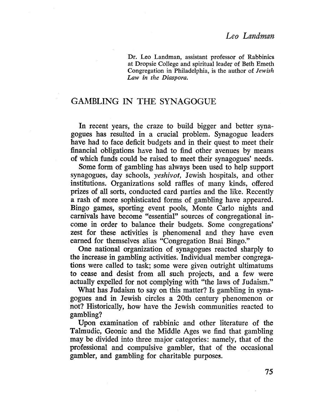Dr. Leo Landman, assistant professor of Rabbinics at Dropsie College and spiritual leader of Beth Emeth Congregation in Philadelphia, is the author of Jewish Law in the Diaspora.

## GAMBLING IN THE SYNAGOGUE

In recent years, the craze to build bigger and better synagogues has resulted in a crucial problem. Synagogue leaders have had to face deficit budgets and in their quest to meet their financial obligations have had to find other avenues by means of which funds could be raised to meet their synagogues' needs.

Some form of gambling has always been used to help support synagogues, day schools, *yeshivot*, Jewish hospitals, and other institutions. Organizations sold raffes of many kinds, offered prizes of all sorts, conducted card parties and the like. Recently a rash of more sophisticated forms of gambling have appeared. Bingo games, sporting event pools, Monte Carlo nights and carnivals have become "essential" sources of congregational income in order to balance their budgets. Some congregations' zest for these activities is phenomenal and they have even earned for themselves alias "Congregation Bnai Bingo."

One national organization of synagogues reacted sharply to the increase in gambling activities. Individual member congregations were called to task; some were given outright ultimatums to cease and desist from all such projects, and a few were actually expelled for not complying with "the laws of Judaism."

What has Judaism to say on this matter? Is gambling in synagogues and in Jewish circles a 20th century phenomenon or not? Historically, how have the Jewish communities reacted to gambling?

Upon examination of rabbinic and other literature of the Talmudic, Geonic and the Middle Ages we find that gambling may be divided into three major categories: namely, that of the professional and compulsive gambler, that of the occasional gambler, and gambling for charitable purposes.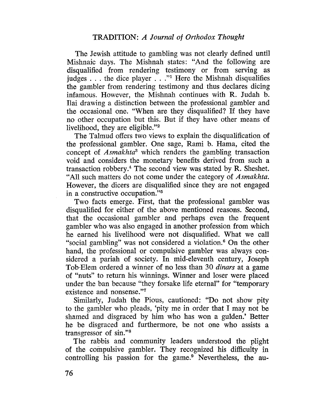The Jewish attitude to gambling was not clearly defined until Mishnaic days. The Mishnah states: "And the following are disqualified from rendering testimony or from serving as judges... the dice player..."<sup>1</sup> Here the Mishnah disqualifies the gambler from rendering testimony and thus declares dicing infamous. However, the Mishnah continues with R. Judah b. Ilai drawing a distinction between the professional gambler and the occasional one. "When are they disqualified? If they have no other occupation but this. But if they have other means of livelihood, they are eligible."2

The Talmud offers two views to explain the disqualifieation of the professional gambler. One sage, Rami b. Hama, cited the concept of  $\Delta$ smakhta<sup>3</sup> which renders the gambling transaction void and eonsiders the monetary benefits derived from such a transaction robbery.4 The second view was stated by R. Sheshet. "All such matters do not come under the category of *Asmakhta*. However, the dicers are disqualified since they arc not engaged in a constructive occupation."5

Two facts emerge. First, that the professional gambler was disqualified for either of the above mentioned reasons. Second, that the occasional gambler and perhaps even the frequent gambler who was also engaged in another profession from which he earned his livelihood were not disqualified. What we call "social gambling" was not considered a violation.6 On the other hand, the professional or compulsive gambler was always considered a pariah of society. In mid-eleventh century, Joseph Tob-Elem ordered a winner of no less than 30 dinars at a game of "nuts" to return his winnings. Winner and loser were placed under the ban because "they forsake life eternal" for "temporary existence and nonsense."7

Similarly, Judah the Pious, cautioned: "Do not show pity to the gambler who pleads, 'pity me in order that I may not be shamed and disgraced by him who has won a gulden.' Better he be disgraced and furthermore, be not one who assists a transgressor of sin."s

The rabbis and community leaders understood the plight of the compulsive gambler. They recognized his diffculty in controlling his passion for the game.<sup>9</sup> Nevertheless, the au-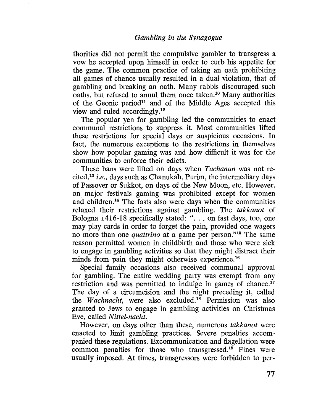## Gambling in the Synagogue

thorities did not permit the compulsive gambler to transgress a vow he accepted upon himself in order to curb his appetite for the game. The common practice of taking an oath prohibiting all games of chance usually resulted in a dual violation, that of gambling and breaking an oath. Many rabbis discouraged such oaths, but refused to annul them once taken.10 Many authorities of the Geonic period<sup>11</sup> and of the Middle Ages accepted this view and ruled accordingly.12

The popular yen for gambling led the communities to enact communal restrictions to suppress it. Most communities lifted these restrictions for special days or auspicious occasions. In fact, the numerous exceptions to the restrictions in themselves show how popular gaming was and how difficult it was for the communities to enforce their edicts.

These bans were lifted on days when *Tachanun* was not recited,13 i.e., days such as Chanukah, Purim, the intermediary days of Passover or Sukkot, on days of the New Moon, etc. However, on major festivals gaming was prohibited except for women and children.14 The fasts also were days when the communities relaxed their restrictions against gambling. The takkanot of Bologna 1416-18 specifically stated: ". . . on fast days, too, one may play cards in order to forget the pain, provided one wagers no more than one *quattrino* at a game per person."<sup>15</sup> The same reason permitted women in childbirth and those who were sick to engage in gambling activities so that they might distract their minds from pain they might otherwise experience.<sup>16</sup>

Special family occasions also received communal approval for gambling. The entire wedding party was exempt from any restriction and was permitted to indulge in games of chance.<sup>17</sup> The day of a circumcision and the night preceding it, called the *Wachnacht*, were also excluded.<sup>18</sup> Permission was also granted to Jews to engage in gambling activities on Christmas Eve, called Nitel-nacht.

However, on days other than these, numerous takkanot were enacted to limit gambling practices. Severe penalties accompanied these regulations. Excommunication and flagellation were common penalties for those who transgressed. $19$  Fines were usually imposed. At times, transgressors were forbidden to per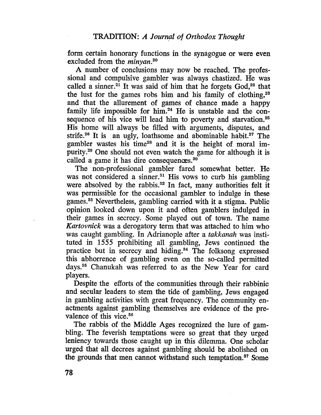form certain honorary functions in the synagogue or were even excluded from the minyan.2o

A number of conclusions may now be reached. The professional and compulsive gambler was always chastized. He was called a sinner.<sup>21</sup> It was said of him that he forgets God.<sup>22</sup> that the lust for the games robs him and his family of clothing.<sup>23</sup> and that the allurement of games of chance made a happy family life impossible for him.<sup>24</sup> He is unstable and the consequence of his vice will lead him to poverty and starvation.<sup>25</sup> His home will always be filled with arguments, disputes, and strife.<sup>26</sup> It is an ugly, loathsome and abominable habit.<sup>27</sup> The gambler wastes his time28 and it is the height of moral impurity.29 One should not even watch the game for although it is called a game it has dire consequences.<sup>30</sup>

The non-professional gambler fared somewhat better. He was not considered a sinner.<sup>31</sup> His vows to curb his gambling were absolved by the rabbis.<sup>32</sup> In fact, many authorities felt it was permissible for the occasional gambler to indulge in these games.33 Nevertheless, gambling carried with it a stigma. Public opinion looked down upon it and often gamblers indulged in their games in secrecy. Some played out of town. The name Kartovnick was a derogatory term that was attached to him who was caught gambling. In Adrianople after a *takkanah* was instituted in 1555 prohibiting all gambling, Jews continued the practice but in secrecy and hiding.<sup>34</sup> The folksong expressed this abhorrence of gambling even on the so-called permitted days.35 Chanukah was referred to as the New Year for card players.

Despite the efforts of the communities through their rabbinic and secular leaders to stem the tide of gambling, Jews engaged in gambling activities with great frequency. The community enactments against gambling themselves are evidence of the prevalence of this vice.<sup>36</sup>

The rabbis of the Middle Ages recognized the lure of gambling. The feverish temptations were so great that they urged leniency towards those caught up in this dilemma. One scholar urged that all decrees against gambling should be abolished on the grounds that men cannot withstand such temptation.<sup>37</sup> Some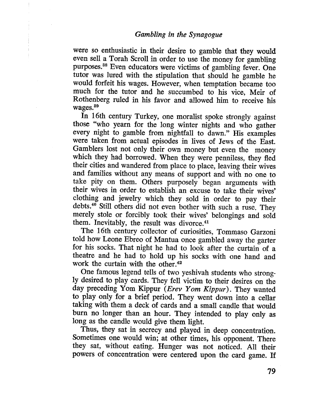were so enthusiastic in their desire to gamble that they would even sell a Torah Scroll in order to use the money for gambling purposes.38 Even educators were victims of gambling fever. One tutor was lured with the stipulation that should he gamble he would forfeit his wages. However, when temptation became too much for the tutor and he succumbed to his vice, Meir of Rothenberg ruled in his favor and allowed him to receive his wages.39

In 16th century Turkey, one moralist spoke strongly against those "who yearn for the long winter nights and who gather every night to gamble from nightfall to dawn." His examples were taken from actual episodes in lives of Jews of the East. Gamblers lost not only their own money but even the money which they had borrowed. When they were penniless, they fled their cities and wandered from place to place, leaving their wives and families without any means of support and with no one to take pity on them. Others purposely began arguments with their wives in order to establish an excuse to take their wives' clothng and jewelry which they sold in order to pay their debts.<sup>40</sup> Still others did not even bother with such a ruse. They merely stole or forcibly took their wives' belongings and sold them. Inevitably, the result was divorce.<sup>41</sup>

The 16th century collector of curiosities, Tommaso Garzoni told how Leone Ebreo of Mantua once gambled away the garter for his socks. That night he had to look after the curtain of a theatre and he had to hold up his socks with one hand and work the curtain with the other.<sup>42</sup>

One famous legend tells of two yeshivah students who strongly desired to play cards. They fell victim to their desires on the day preceding Yom Kippur (Erev Yom Kippur). They wanted to play only for a brief period. They went down into a cellar taking with them a deck of cards and a small candle that would burn no longer than an hour. They intended to play only as long as the candle would give them light.

Thus, they sat in secrecy and played in deep concentration. Sometimes one would win; at other times, his opponent. There they sat, without eating. Hunger was not noticed. All their powers of concentration were centered upon the card game. If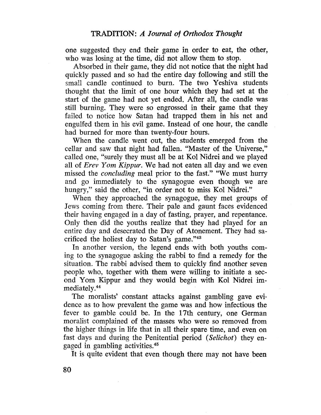one suggested they end their game in order to eat, the other, who was losing at the time, did not allow them to stop.

Absorbed in their game, they did not notice that the night had quickly passed and so had the entire day following and stil the small candle continued to burn. The two Yeshiva students thought that the limit of one hour which they had set at the start of the game had not yet ended. After all, the candle was still burning. They were so engrossed in their game that they failed to notice how Satan had trapped them in his net and engulfed them in his evil game. Instead of one hour, the candle had burned for more than twenty-four hours.

When the candle went out, the students emerged from the cellar and saw that night had fallen. "Master of the Universe," called one, "surely they must all be at Kol Nidrei and we played all of Erev Yom Kippur. We had not eaten all day and we even misscd the concluding meal prior to the fast." "We must hurry and go immediately to the synagogue even though we are hungry," said the other, "in order not to miss Kol Nidrei."

When they approached the synagogue, they met groups of Jews coming from there. Their pale and gaunt faces evidenced their having engagcd in a day of fasting, prayer, and repentance. Only then did the youths realize that they had played for an entire day and desecrated the Day of Atonement. They had sacrificed the holiest day to Satan's game."43

In another version, the legend ends with both youths coming to the synagogue asking the rabbi to find a remedy for the situation. The rabbi adviscd them to quickly find another seven people who, together with them were wiling to initiate a second Yom Kippur and they would begin with Kol Nidrei immediately.<sup>44</sup>

The moralists' constant attacks against gambling gave evidence as to how prevalent the game was and how infectious the fever to gamble could be. In the 17th century, one German moralist complained of the masses who were so removed from the higher things in life that in all their spare time, and even on fast days and during the Penitential period (Selichot) they engaged in gambling activities.45

It is quite evident that even though there may not have been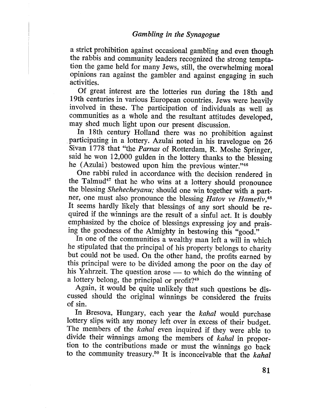a strict prohibition against occasional gambling and even though the rabbis and community leaders recognized the strong temptation the game held for many Jews, still, the overwhelming moral opinions ran against the gambler and against engaging in such activities.

Of great interest are the lotteries run during the 18th and 19th centuries in various European countries. Jews were heavily involved in these. The participation of individuals as well as communities as a whole and the resultant attitudes developed, may shed much light upon our present discussion.

In 18th century Holland there was no prohibition against participating in a lottery. Azulai noted in his travelogue on 26 Sivan 1778 that "the Parnas of Rotterdam, R. Moshe Springer, said he won 12,000 gulden in the lottery thanks to the blessing he (Azulai) bestowed upon him the previous winter."40

One rabbi ruled in accordance with the decision rendered in the Talmud<sup>47</sup> that he who wins at a lottery should pronounce the blessing Shehecheyanu; should one win together with a partner, one must also pronounce the blessing Hatov ve Hametiv,<sup>48</sup> It seems hardly likely that blessings of any sort should be required if the winnings are the result of a sinful act. It is doubly emphasized by the choice of blessings expressing joy and praising the goodness of the Almighty in bestowing this "good."

In one of the communities a wealthy man left a will in which he stipulated that the principal of his property belongs to charity but could not be used. On the other hand, the profits earned by this principal were to be divided among the poor on the day of his Yahrzeit. The question arose  $-$  to which do the winning of a lottery belong, the principal or profit?49

Again, it would be quite unlikely that such questions be discussed should the original winnings be considered the fruits of sin.

In Bresova, Hungary, each year the kahal would purchase lottery slips with any money left over in excess of their budget. The members of the *kahal* even inquired if they were able to divide their winnings among the members of kahal in proportion to the contributions made or must the winnings go back to the community treasury.<sup>50</sup> It is inconceivable that the kahal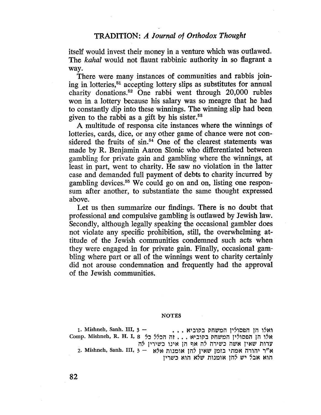itself would invest their money in a venture which was outlawed. The *kahal* would not flaunt rabbinic authority in so flagrant a way.

There were many instances of communities and rabbis joining in lotteries,<sup>51</sup> accepting lottery slips as substitutes for annual charity donations. 52 One rabbi went through 20,000 rubles won in a lottery because his salary was so meagre that he had to constantly dip into these winnings. The winning slip had been given to the rabbi as a gift by his sister.<sup>53</sup>

A multitude of responsa cite instances where the winnings of lotteries, cards, dice, or any other game of chance were not considered the fruits of  $\sin^{54}$  One of the clearest statements was made by R. Benjamin Aaron Slonic who differentiated between gambling for private gain and gambling where the winnings, at least in part, went to charity. He saw no violation in the latter case and demanded full payment of debts to charity incurred by gambling devices.55 We could go on and on, listing one responsum after another, to substantiate the same thought expressed above.

Let us then summarize our findings. There is no doubt that professional and compulsive gambling is outlawed by Jewish law. Secondly, although legally speaking the occasional gambler does not violate any specific prohibition, stil, the overwhelming attitude of the Jewish communities condemned such acts when they were engaged in for private gain. Finally, occasional gambling where part or all of the winnings went to charity certainly did not arouse condemnation and frequently had the approval of the Jewish communities.

## NOTES

1. Mishneh, Sanh. II, 3 - . . . K'~li'~ i'n~~M l'?ltJ!lM 1M 1?K1 Compo Mishneh, R. H. I, S?:i ?7~M i1 . . .K"~~i'~ im~~M 1'71tJ!lM 1M 17K עדות שאין אשה כשירה לה אף הן אינו כשירין לה 2. Mishneh, Sanh. III, 3 - א״ר יהודה אמתי בזמן שאין להן אומנות אלא הוא אבל יש להן אומנות שלא הוא כשרין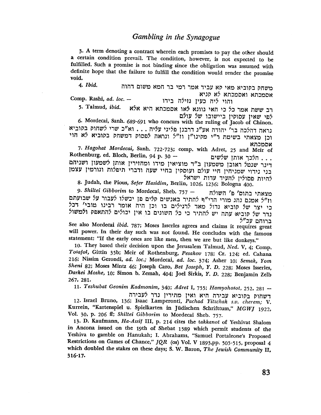## **Gambling in the Synagogue**

3. A term denoting a contract wherein each promises to pay the other should a certain condition prevail. The condition, however, is not expected to be fulfilled. Such a promise is not binding since the obligation was assumed with definite hope that the failure to fulfill the condition would render the promise void.

4. Ibid. משחק בקוביא מאי קא עביד אמר רמי בר חמא משום דהוה אסמכתא ואסמכתא לא קניא Comp. Rashi, ad. loc. -והוי ליה כעין גזילה בידו 5. Talmud. ibid.

רב ששת אמר כל כי האי גוונא לאו אסמכתא היא אלא לפי שאיז עסוסיז ביישובו של עולם

6. Mordecai, Sanh. 689-691 who concurs with the ruling of Jacob of Chinon. נראת דהלכה בר' יהודה אע"ג דרבנן פליגי עליה . . . וא"כ שרי לשחוק בקוביא וכז מצאתי בשימת ר"י מקינו"ן וז"ל ונראה לפסוק דמשחק בקוביא לא חוי אסמכתא

7. Hagohat Mordecai, Sanh. 722-723; comp. with Adret, 25 and Meir of Rothenburg, ed. Bloch, Berlin, 94 p. 30 -... הלכך אותו שלשים דינר שנמל ראובן משמעון ב"ד מוציאין מידו ומחזירין אותן לשמעון ושניהם בני נידוי שמניחין חיי עולם ועוסקין בחיי שעה ודברי תיפלות וגורמין עצמן להיות פסולין להעיד עדות ישראל

8. Judah, the Pious, Sefer Hasidim, Berlin, 1026, 1236; Bologna 400.

9. Shiltei Gibborim to Mordecai, Sheb. 757 -מצאתי בתום' פ' השולח וז"? אמנם נהג מורי הרי"ף להתיר באנשים קלים פן יכשלו לעבור על שבועתם כי יצר של קוביא גדול מאד לרגילים בו וכן היה אומר רבינו מובי' דכל נדר של קוביא עתה יש להתיר כי כל השוגים בו אין יכולים להתאפק ולמשול ברוחם עכ"ל

See also Mordecai ibid. 787; Moses Isserles agrees and claims it requires great will power. In their day such was not found. He concludes with the famous statement: "If the early ones are like men, then we are but like donkeys."

10. They based their decision upon the Jerusalem Talmud, Ned. V, 4; Comp. Tosafot, Gittin 35b; Meir of Rothenburg, Pesakov 178; Cr. 124; ed. Cahana 216; Nissim Gerondi, ad. loc.; Mordecai, ad. loc. 374; Asher 10; Semak, Yom Sheni 82; Moses Mintz 46; Joseph Caro, Bet Joseph, Y. D. 228; Moses Isserles, Darkei Moshe, 10; Simon b. Zemah, 404; Joel Sirkis, Y. D. 228; Benjamin Zelb 267, 281.

11. Teshubat Geonim Kadmonim, 340; Adret I, 755; Hamyohosot, 252, 281 -

דשחוק בקוביא עבירה היא ואין מתירין נדר לעבירה 12. Israel Bruno, 136; Isaac Lamperonti, Pachad Yitzchak s.v. cherem; V. Kurrein, "Kartenspiel u. Spielkarten in Jüdischen Schrifttum," MGWJ 1922, Vol. 30, p. 206 ff; Shiltei Gibborim to Mordecai Sheb. 757.

13. D. Kaufmann, Ha-Assif III, p. 214 cites the takkanot of Yeshivat Shalom in Ancona issued on the 19th of Shebat 1589 which permit students of the Yeshiva to gamble on Hanukah; I. Abrahams, "Samuel Portaleone's Proposed Restrictions on Games of Chance," JQR (os) Vol. V 1893,pp. 505-515, proposal 4 which doubled the stakes on these days; S. W. Baron, The Jewish Community II,  $316 - 17$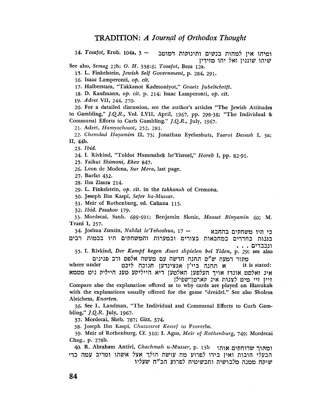14. Tosafot, Erub. 104a, 3 -ומיהו איז למחות בנשים ותינוסות דמוטב שיהו שונגין ואל יהו מזידין

See also, Semag 22b; O. H. 338:6; Tosafot, Beza 12a.

15. L. Finkelstein, Jewish Self Government, p. 284, 291.

16. Isaac Lamperonti, op. cit.

17. Halberstam, "Takkanot Kadmoniyot," Graetz Jubelschrift.

18. D. Kaufmann, op. cit. p. 214; Isaac Lamperonti, op. cit.

19. Adret VII, 244, 270.

20. For a detailed discussion, see the author's articles "The Jewish Attitudes to Gambling," J.Q.R., Vol. LVII, April, 1967, pp. 298-38; "The Individual & Communal Efforts to Curb Gambling." J.Q.R., July, 1967.

21. Adret, Hamyochosot, 252, 281.

22. Chemdad Hayamim II, 73; Jonathan Eyebeshutz, Yaarot Devash I, 3a; II. 44b.

23. Ibid.

24. I. Rivkind, "Toldot Hamesahek be'Yisroel," Horeb I, pp. 82-91.

25. Yalkut Shimoni, Ekev 847.

26. Leon de Modena, Sur Mera, last page.

27. Barfat 432.

28. Ibn Zimra 214.

29. L. Finkelstein, op. cit. in the takkanah of Cremona.

30. Joseph Ibn Kaspi, Sefer ha-Mussar.

31. Meir of Rothenburg, ed. Cahana 115.

32. Ibid. Pesakov 179.

33. Mordecai, Sanh. 689-691; Benjamin Slonic, Maasat Binyamin 60; M. Trani I, 257.

34. Joshua Zunzin, Nahlat le'Yehoshua, 17 -כי היו משחקים בהחבא בגנות בחדרים במחבאות בצורים ובמערות והמשחקים היו בכמות רבים ונכבדים . . .

35. I. Rivkind, Der Kampf kegen Azart shpielen bei Yiden, p. 29; see also מקור דמעה ש"ם תחנה חדשה עם מעשה אלפס ורב פנינים

where under א תחנה ביי'ן אנצינדען חנוכה ליכט it is stated: אינ ואלסט אונדו אויך העלפען האלטען דיא הייליקע טעג הייליק ניט מטמא זייז זיי מיט לצנות אינ קארטז־שפילז

Compare also the explanation offered as to why cards are played on Hanukah with the explanations usually offered for the game "dreidel." See also Sholem Aleichem, Knorten.

36. See L. Landman, "The Individual and Communal Efforts to Curb Gambling," J.Q.R. July, 1967.

37. Mordecai, Sheb. 787; Gitt. 374.

38. Joseph Ibn Kaspi, Chazzozrot Kessef to Proverbs.

39. Meir of Rothenburg, Cf. 310; I. Agus, Meir of Rothenburg, 749; Mordecai Chag., p. 278b.

40. R. Abraham Antivi, Chachmah u-Musser, p. 13b ומתוך שדוחקים אותו הבעלי חובות ואין בידו לפרוע מה עושה הולך אצל אשתו ומריב עמה כדי שיסח ממנה מלבושיה ותכשיטיה לפרוע הב"ח שעליו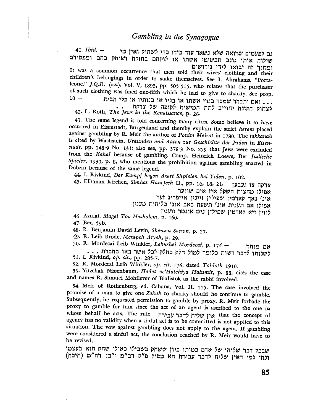41.  $Ibid.$  בם לפעמים שרואה שלא נשאר עוד בידו כדי לשחוק ואין מי שילוה אותו גונב תכשיטי אשתו או לוקחם בחזקה ושוחק בהם ומפסידם ומתוך זה יבואו לידי גירושים<br>It was a common occurrence that men sold their wives' clothing and their

children's belongings in order to stake themselves. See 1. Abrahams, "Portaleone," j.Q.R. (o.s.), VoL. V, 1893, pp. 505-515, who relates that the purchaser o£ such clothing was fined one-fifth which he had to give to charity. See prop. 10 - n'.:il '5:i ~~ l'mJ.: i~ l'J.: 1~ ~nei~ 'i~.: i:iOeiii:in' tl~l . . .

 $\dots$  . לצחוק הקונה יחוייב לתת חמישית לקופה של צדקה 42. L. Roth, The Jews in the Renaissance, p. 26.

43. The same legend is told concerning many cities. Some believe it to have occurred in Eisenstadt, Burgenland and thereby explain the strict herem placed against gambling by R. Meir the author of Ponim Meirot in 1780. The takkanah is cited by Wachstein, Urkunden and Akten zur Geschichte der juden in Eisen. stadt, pp. 148-9 No. 131; also see, pp. 378-9 No. 259 that Jews were excluded from the Kahal because of gambling. Comp. Heinrich Loewe, Der Jüdische Spieler, 1930, p. 8, who mentions the prohibition against gambling enacted in Dobzin because of the same legend.

44. I. Rivkind, Der Kampf kegen Azart Shpielen bei Yiden, p. 102.

45. Elhanan Kirchen, Simhat Hanefesh II., pp. 16, 18, 21. [עבען  $\gamma$ 

אפילו מחצית השקל איז אים שווער

אונ' נאך מארטין שפיליו וייניו אייפריג וער

אפילו ואם תענית אונ' תשעה באב אונ' סליחות מעגין

ווין זיא קארטין שפילין ניט אונטר וועגיו?

46. Azulai, Magel Tov Hasholem, p. 160.

47. Ber. 59b.

48. R. Benjamin David Levin, Shemen Sasson, p. 27.

49. R. Leib Brode, Mezapeh Aryeh, p. 29.

50. R. Mordecai Leib Winkler, Lebushei Mordecai, p. 174 - יאם מותר . . . לשנותו לדבר רשות כלומר לטול חלק כחלק לכל אשר באו בחברת

51. I. Rivkind, op. cit., pp. 285-7.

52. R. Mordecai Leib Winkler, op. cit. 176, dated Toldoth 1910.

53. Yitzchak Nissenbaum, Hadat ve'Hatchiya Halumit, p. 88, cites the case and names R. Shmuel Mohilever of Bialistok as the rabbi involved.

54. Mcir of Rothenburg, ed. Cahana, VoL. II, 115. The case involved the promise of a man to give one Zakuk to charity should he continue to gamble. Subsequently, he requested permission to gamble by proxy. R. Meir forbade the proxy to gamble for him since the act of an agent is ascribed to the one in whose behalf he acts. The rule עבירה לדבר עבירה that the concept of agency has no validity when a sinful act is to be committed is not applied to this situation. The vow against gambling does not apply to the agent. If gambling were considered a sinful act, the conclusion reached by R. Meir would have to be revised.

שבכל דבר שלוחו של אדם כמותו כיון ששחק בשבילו כאילו שחק הוא בעצמו ונהי נמי דאין שליח לדבר עבירה הא מסיק פ"ק דב"מ י"ב: דה"מ (היכה)